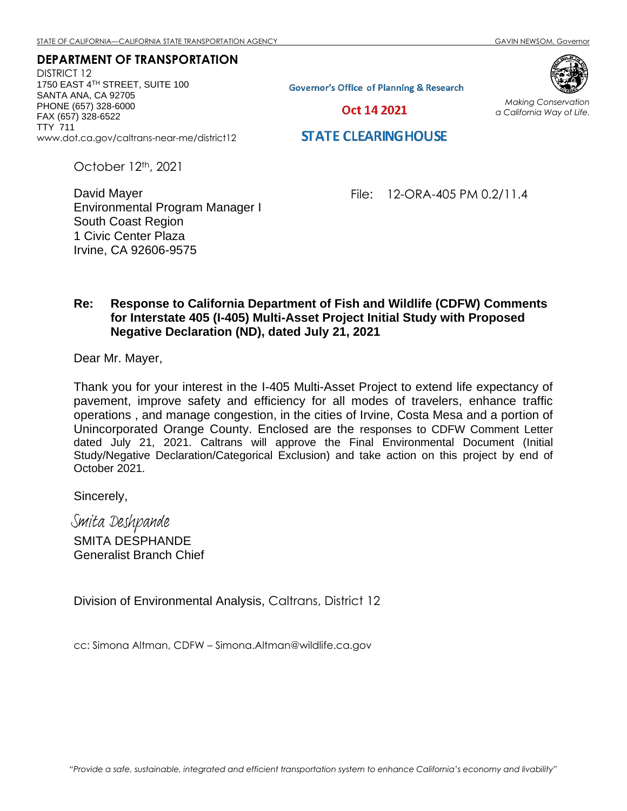#### **DEPARTMENT OF TRANSPORTATION**

DISTRICT 12 1750 EAST 4TH STREET, SUITE 100 SANTA ANA, CA 92705 PHONE (657) 328-6000 FAX (657) 328-6522 TTY 711 www.dot.ca.gov/caltrans-near-me/district12

**Governor's Office of Planning & Research** 

Oct 14 2021



*Making Conservation a California Way of Life.*

#### **STATE CLEARING HOUSE**

October 12th, 2021

David Mayer Environmental Program Manager I South Coast Region 1 Civic Center Plaza Irvine, CA 92606-9575

File: 12-ORA-405 PM 0.2/11.4

#### **Re: Response to California Department of Fish and Wildlife (CDFW) Comments for Interstate 405 (I-405) Multi-Asset Project Initial Study with Proposed Negative Declaration (ND), dated July 21, 2021**

Dear Mr. Mayer,

Thank you for your interest in the I-405 Multi-Asset Project to extend life expectancy of pavement, improve safety and efficiency for all modes of travelers, enhance traffic operations , and manage congestion, in the cities of Irvine, Costa Mesa and a portion of Unincorporated Orange County. Enclosed are the responses to CDFW Comment Letter dated July 21, 2021. Caltrans will approve the Final Environmental Document (Initial Study/Negative Declaration/Categorical Exclusion) and take action on this project by end of October 2021.

Sincerely,

Smita Deshpande SMITA DESPHANDE Generalist Branch Chief

Division of Environmental Analysis, Caltrans, District 12

cc: Simona Altman, CDFW – Simona.Altman@wildlife.ca.gov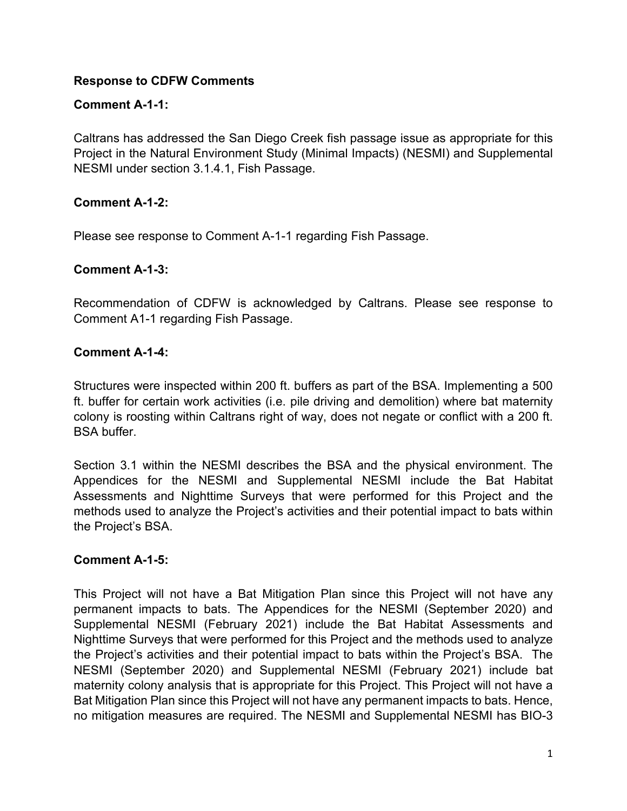## **Response to CDFW Comments**

# **Comment A-1-1:**

Caltrans has addressed the San Diego Creek fish passage issue as appropriate for this Project in the Natural Environment Study (Minimal Impacts) (NESMI) and Supplemental NESMI under section 3.1.4.1, Fish Passage.

# **Comment A-1-2:**

Please see response to Comment A-1-1 regarding Fish Passage.

# **Comment A-1-3:**

Recommendation of CDFW is acknowledged by Caltrans. Please see response to Comment A1-1 regarding Fish Passage.

# **Comment A-1-4:**

Structures were inspected within 200 ft. buffers as part of the BSA. Implementing a 500 ft. buffer for certain work activities (i.e. pile driving and demolition) where bat maternity colony is roosting within Caltrans right of way, does not negate or conflict with a 200 ft. BSA buffer.

Section 3.1 within the NESMI describes the BSA and the physical environment. The Appendices for the NESMI and Supplemental NESMI include the Bat Habitat Assessments and Nighttime Surveys that were performed for this Project and the methods used to analyze the Project's activities and their potential impact to bats within the Project's BSA.

### **Comment A-1-5:**

This Project will not have a Bat Mitigation Plan since this Project will not have any permanent impacts to bats. The Appendices for the NESMI (September 2020) and Supplemental NESMI (February 2021) include the Bat Habitat Assessments and Nighttime Surveys that were performed for this Project and the methods used to analyze the Project's activities and their potential impact to bats within the Project's BSA. The NESMI (September 2020) and Supplemental NESMI (February 2021) include bat maternity colony analysis that is appropriate for this Project. This Project will not have a Bat Mitigation Plan since this Project will not have any permanent impacts to bats. Hence, no mitigation measures are required. The NESMI and Supplemental NESMI has BIO-3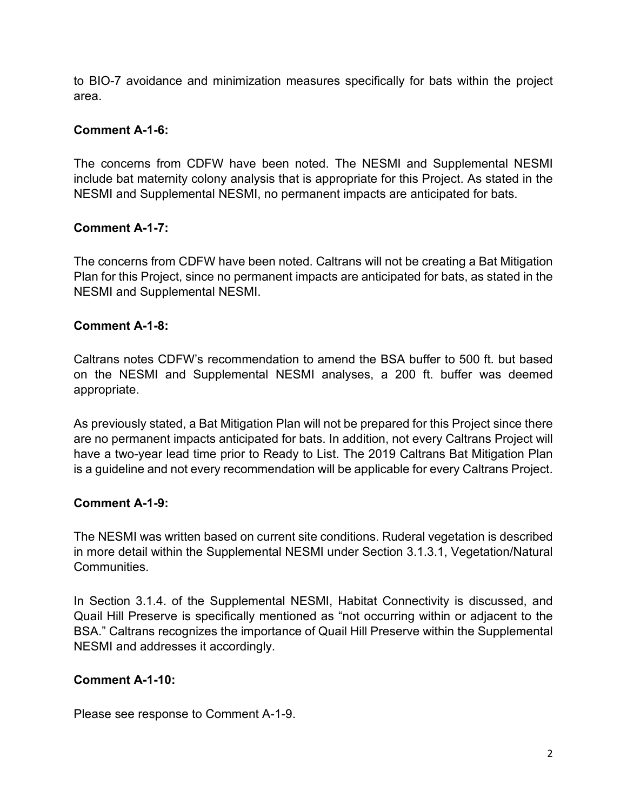to BIO-7 avoidance and minimization measures specifically for bats within the project area.

# **Comment A-1-6:**

The concerns from CDFW have been noted. The NESMI and Supplemental NESMI include bat maternity colony analysis that is appropriate for this Project. As stated in the NESMI and Supplemental NESMI, no permanent impacts are anticipated for bats.

# **Comment A-1-7:**

The concerns from CDFW have been noted. Caltrans will not be creating a Bat Mitigation Plan for this Project, since no permanent impacts are anticipated for bats, as stated in the NESMI and Supplemental NESMI.

### **Comment A-1-8:**

Caltrans notes CDFW's recommendation to amend the BSA buffer to 500 ft. but based on the NESMI and Supplemental NESMI analyses, a 200 ft. buffer was deemed appropriate.

As previously stated, a Bat Mitigation Plan will not be prepared for this Project since there are no permanent impacts anticipated for bats. In addition, not every Caltrans Project will have a two-year lead time prior to Ready to List. The 2019 Caltrans Bat Mitigation Plan is a guideline and not every recommendation will be applicable for every Caltrans Project.

# **Comment A-1-9:**

The NESMI was written based on current site conditions. Ruderal vegetation is described in more detail within the Supplemental NESMI under Section 3.1.3.1, Vegetation/Natural Communities.

In Section 3.1.4. of the Supplemental NESMI, Habitat Connectivity is discussed, and Quail Hill Preserve is specifically mentioned as "not occurring within or adjacent to the BSA." Caltrans recognizes the importance of Quail Hill Preserve within the Supplemental NESMI and addresses it accordingly.

### **Comment A-1-10:**

Please see response to Comment A-1-9.